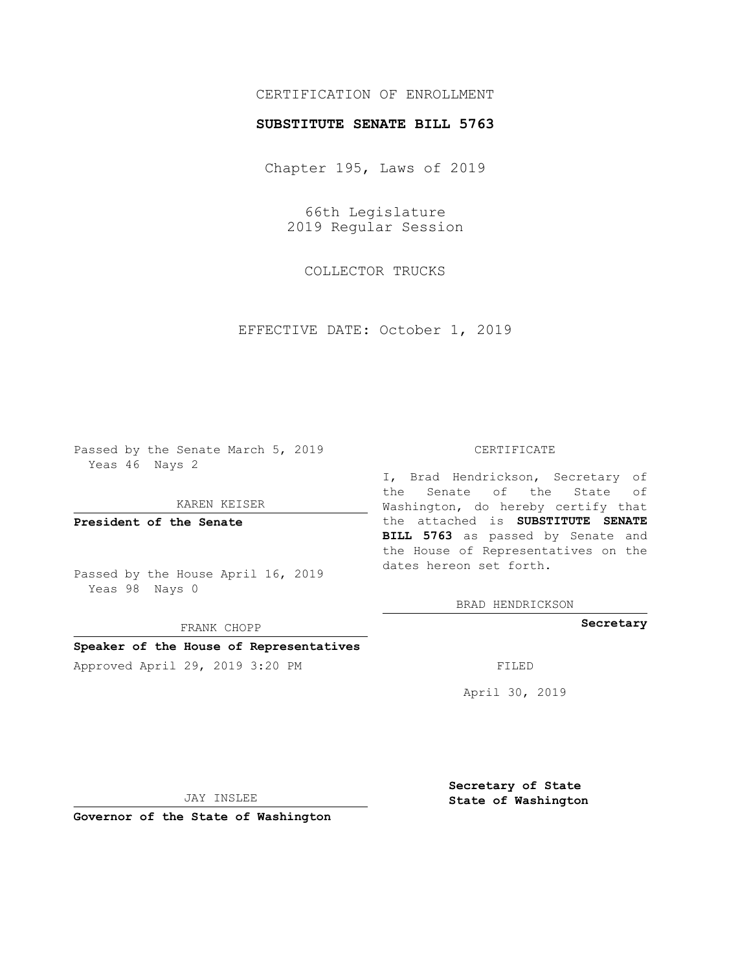## CERTIFICATION OF ENROLLMENT

### **SUBSTITUTE SENATE BILL 5763**

Chapter 195, Laws of 2019

66th Legislature 2019 Regular Session

COLLECTOR TRUCKS

EFFECTIVE DATE: October 1, 2019

Passed by the Senate March 5, 2019 Yeas 46 Nays 2

KAREN KEISER

**President of the Senate**

Passed by the House April 16, 2019 Yeas 98 Nays 0

FRANK CHOPP

# **Speaker of the House of Representatives**

Approved April 29, 2019 3:20 PM FILED

#### CERTIFICATE

I, Brad Hendrickson, Secretary of the Senate of the State of Washington, do hereby certify that the attached is **SUBSTITUTE SENATE BILL 5763** as passed by Senate and the House of Representatives on the dates hereon set forth.

BRAD HENDRICKSON

**Secretary**

April 30, 2019

JAY INSLEE

**Governor of the State of Washington**

**Secretary of State State of Washington**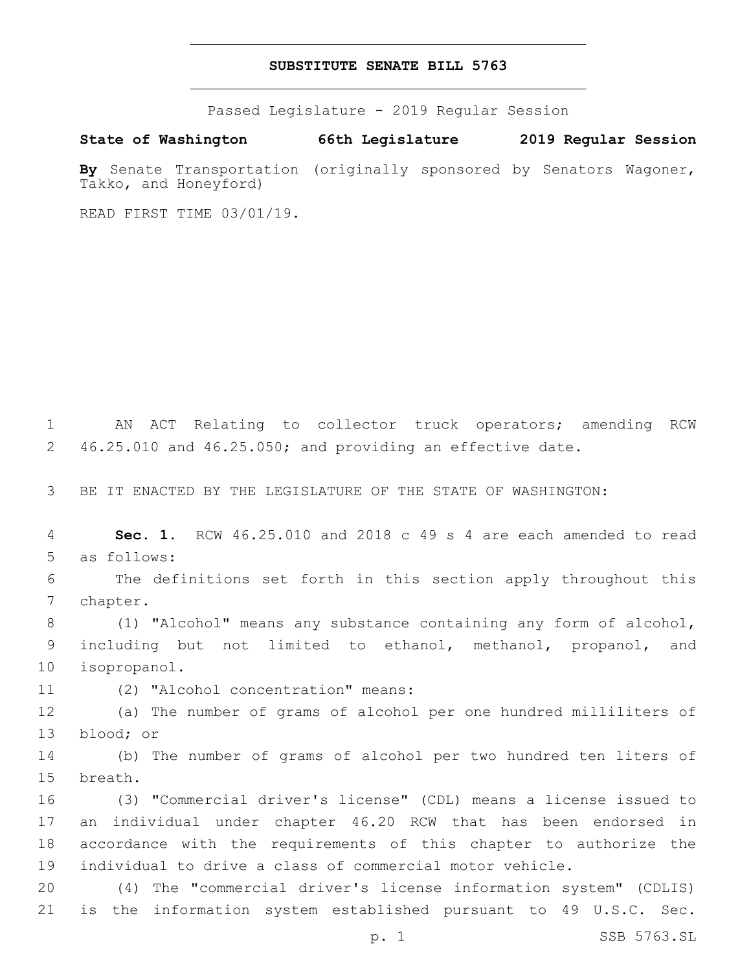## **SUBSTITUTE SENATE BILL 5763**

Passed Legislature - 2019 Regular Session

**State of Washington 66th Legislature 2019 Regular Session By** Senate Transportation (originally sponsored by Senators Wagoner, Takko, and Honeyford)

READ FIRST TIME 03/01/19.

1 AN ACT Relating to collector truck operators; amending RCW 2 46.25.010 and 46.25.050; and providing an effective date.

3 BE IT ENACTED BY THE LEGISLATURE OF THE STATE OF WASHINGTON:

4 **Sec. 1.** RCW 46.25.010 and 2018 c 49 s 4 are each amended to read 5 as follows:

6 The definitions set forth in this section apply throughout this 7 chapter.

8 (1) "Alcohol" means any substance containing any form of alcohol, 9 including but not limited to ethanol, methanol, propanol, and 10 isopropanol.

11 (2) "Alcohol concentration" means:

12 (a) The number of grams of alcohol per one hundred milliliters of 13 blood; or

14 (b) The number of grams of alcohol per two hundred ten liters of 15 breath.

 (3) "Commercial driver's license" (CDL) means a license issued to an individual under chapter 46.20 RCW that has been endorsed in accordance with the requirements of this chapter to authorize the individual to drive a class of commercial motor vehicle.

20 (4) The "commercial driver's license information system" (CDLIS) 21 is the information system established pursuant to 49 U.S.C. Sec.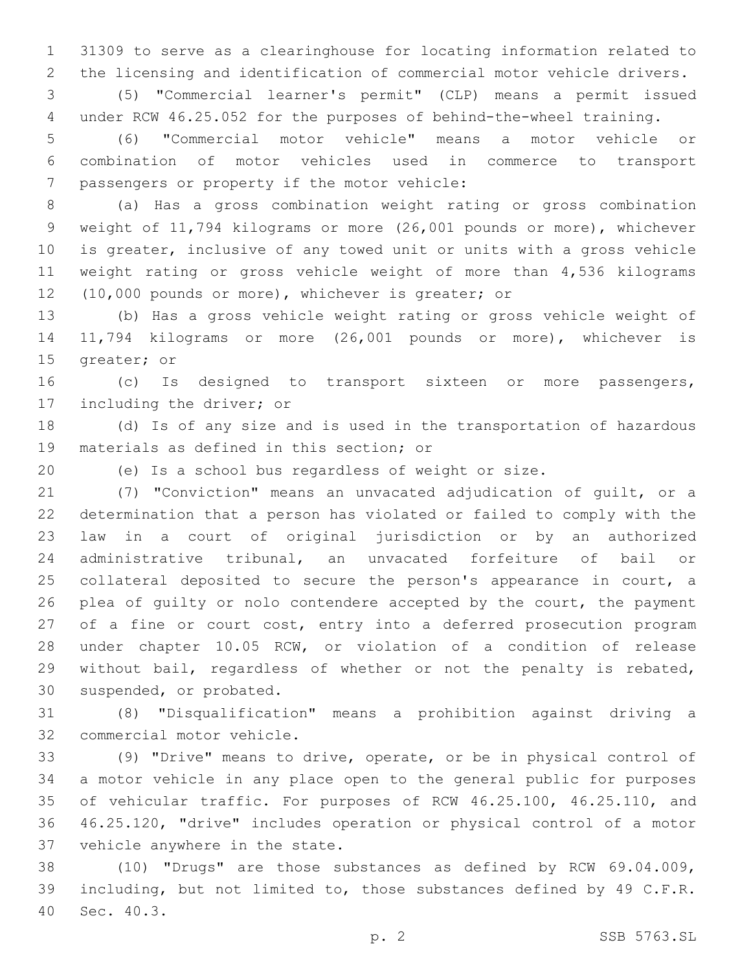31309 to serve as a clearinghouse for locating information related to the licensing and identification of commercial motor vehicle drivers.

 (5) "Commercial learner's permit" (CLP) means a permit issued under RCW 46.25.052 for the purposes of behind-the-wheel training.

 (6) "Commercial motor vehicle" means a motor vehicle or combination of motor vehicles used in commerce to transport 7 passengers or property if the motor vehicle:

 (a) Has a gross combination weight rating or gross combination weight of 11,794 kilograms or more (26,001 pounds or more), whichever is greater, inclusive of any towed unit or units with a gross vehicle weight rating or gross vehicle weight of more than 4,536 kilograms 12 (10,000 pounds or more), whichever is greater; or

 (b) Has a gross vehicle weight rating or gross vehicle weight of 11,794 kilograms or more (26,001 pounds or more), whichever is 15 greater; or

 (c) Is designed to transport sixteen or more passengers, 17 including the driver; or

 (d) Is of any size and is used in the transportation of hazardous 19 materials as defined in this section; or

(e) Is a school bus regardless of weight or size.

 (7) "Conviction" means an unvacated adjudication of guilt, or a determination that a person has violated or failed to comply with the law in a court of original jurisdiction or by an authorized administrative tribunal, an unvacated forfeiture of bail or collateral deposited to secure the person's appearance in court, a 26 plea of quilty or nolo contendere accepted by the court, the payment of a fine or court cost, entry into a deferred prosecution program under chapter 10.05 RCW, or violation of a condition of release without bail, regardless of whether or not the penalty is rebated, 30 suspended, or probated.

 (8) "Disqualification" means a prohibition against driving a 32 commercial motor vehicle.

 (9) "Drive" means to drive, operate, or be in physical control of a motor vehicle in any place open to the general public for purposes of vehicular traffic. For purposes of RCW 46.25.100, 46.25.110, and 46.25.120, "drive" includes operation or physical control of a motor 37 vehicle anywhere in the state.

 (10) "Drugs" are those substances as defined by RCW 69.04.009, including, but not limited to, those substances defined by 49 C.F.R. 40 Sec. 40.3.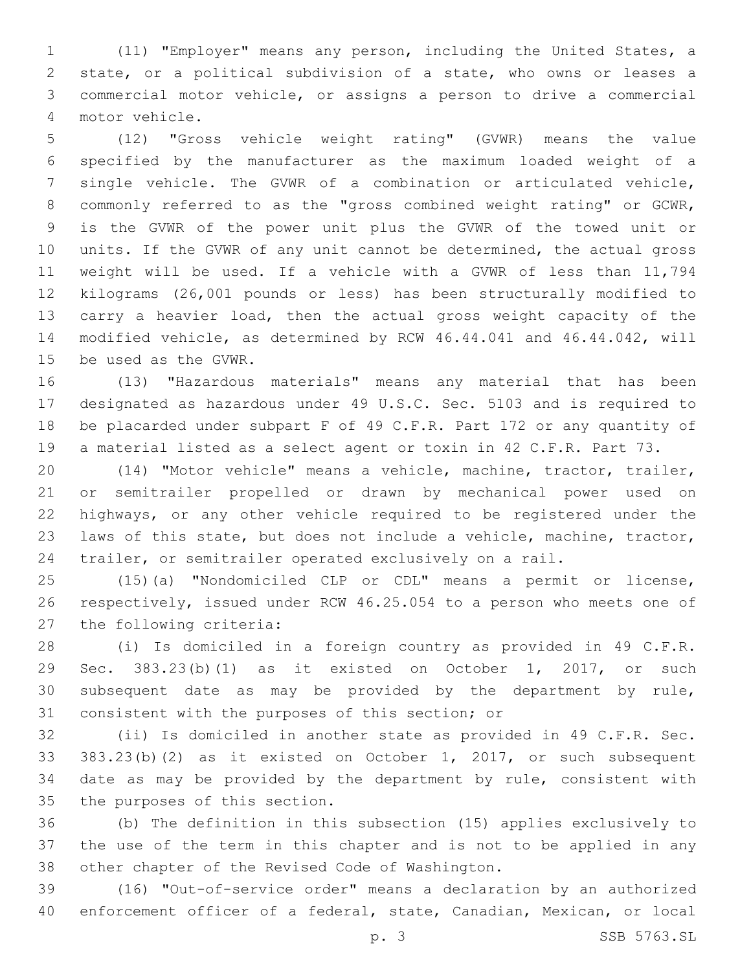(11) "Employer" means any person, including the United States, a state, or a political subdivision of a state, who owns or leases a commercial motor vehicle, or assigns a person to drive a commercial motor vehicle.4

 (12) "Gross vehicle weight rating" (GVWR) means the value specified by the manufacturer as the maximum loaded weight of a single vehicle. The GVWR of a combination or articulated vehicle, commonly referred to as the "gross combined weight rating" or GCWR, is the GVWR of the power unit plus the GVWR of the towed unit or units. If the GVWR of any unit cannot be determined, the actual gross weight will be used. If a vehicle with a GVWR of less than 11,794 kilograms (26,001 pounds or less) has been structurally modified to carry a heavier load, then the actual gross weight capacity of the modified vehicle, as determined by RCW 46.44.041 and 46.44.042, will 15 be used as the GVWR.

 (13) "Hazardous materials" means any material that has been designated as hazardous under 49 U.S.C. Sec. 5103 and is required to be placarded under subpart F of 49 C.F.R. Part 172 or any quantity of a material listed as a select agent or toxin in 42 C.F.R. Part 73.

 (14) "Motor vehicle" means a vehicle, machine, tractor, trailer, or semitrailer propelled or drawn by mechanical power used on highways, or any other vehicle required to be registered under the laws of this state, but does not include a vehicle, machine, tractor, trailer, or semitrailer operated exclusively on a rail.

 (15)(a) "Nondomiciled CLP or CDL" means a permit or license, respectively, issued under RCW 46.25.054 to a person who meets one of 27 the following criteria:

 (i) Is domiciled in a foreign country as provided in 49 C.F.R. Sec. 383.23(b)(1) as it existed on October 1, 2017, or such subsequent date as may be provided by the department by rule, 31 consistent with the purposes of this section; or

 (ii) Is domiciled in another state as provided in 49 C.F.R. Sec. 383.23(b)(2) as it existed on October 1, 2017, or such subsequent date as may be provided by the department by rule, consistent with 35 the purposes of this section.

 (b) The definition in this subsection (15) applies exclusively to the use of the term in this chapter and is not to be applied in any 38 other chapter of the Revised Code of Washington.

 (16) "Out-of-service order" means a declaration by an authorized enforcement officer of a federal, state, Canadian, Mexican, or local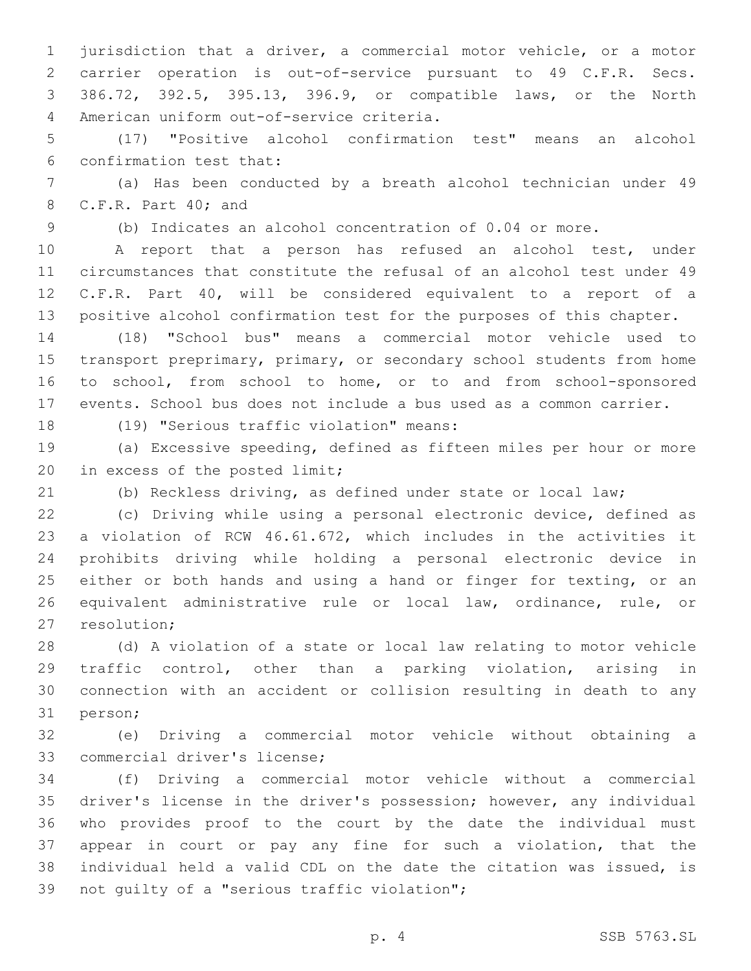jurisdiction that a driver, a commercial motor vehicle, or a motor carrier operation is out-of-service pursuant to 49 C.F.R. Secs. 386.72, 392.5, 395.13, 396.9, or compatible laws, or the North American uniform out-of-service criteria.4

 (17) "Positive alcohol confirmation test" means an alcohol 6 confirmation test that:

 (a) Has been conducted by a breath alcohol technician under 49 8 C.F.R. Part 40; and

(b) Indicates an alcohol concentration of 0.04 or more.

 A report that a person has refused an alcohol test, under circumstances that constitute the refusal of an alcohol test under 49 C.F.R. Part 40, will be considered equivalent to a report of a positive alcohol confirmation test for the purposes of this chapter.

 (18) "School bus" means a commercial motor vehicle used to 15 transport preprimary, primary, or secondary school students from home to school, from school to home, or to and from school-sponsored events. School bus does not include a bus used as a common carrier.

18 (19) "Serious traffic violation" means:

 (a) Excessive speeding, defined as fifteen miles per hour or more 20 in excess of the posted limit;

(b) Reckless driving, as defined under state or local law;

 (c) Driving while using a personal electronic device, defined as a violation of RCW 46.61.672, which includes in the activities it prohibits driving while holding a personal electronic device in 25 either or both hands and using a hand or finger for texting, or an equivalent administrative rule or local law, ordinance, rule, or 27 resolution;

 (d) A violation of a state or local law relating to motor vehicle traffic control, other than a parking violation, arising in connection with an accident or collision resulting in death to any 31 person;

 (e) Driving a commercial motor vehicle without obtaining a 33 commercial driver's license;

 (f) Driving a commercial motor vehicle without a commercial driver's license in the driver's possession; however, any individual who provides proof to the court by the date the individual must appear in court or pay any fine for such a violation, that the individual held a valid CDL on the date the citation was issued, is 39 not quilty of a "serious traffic violation";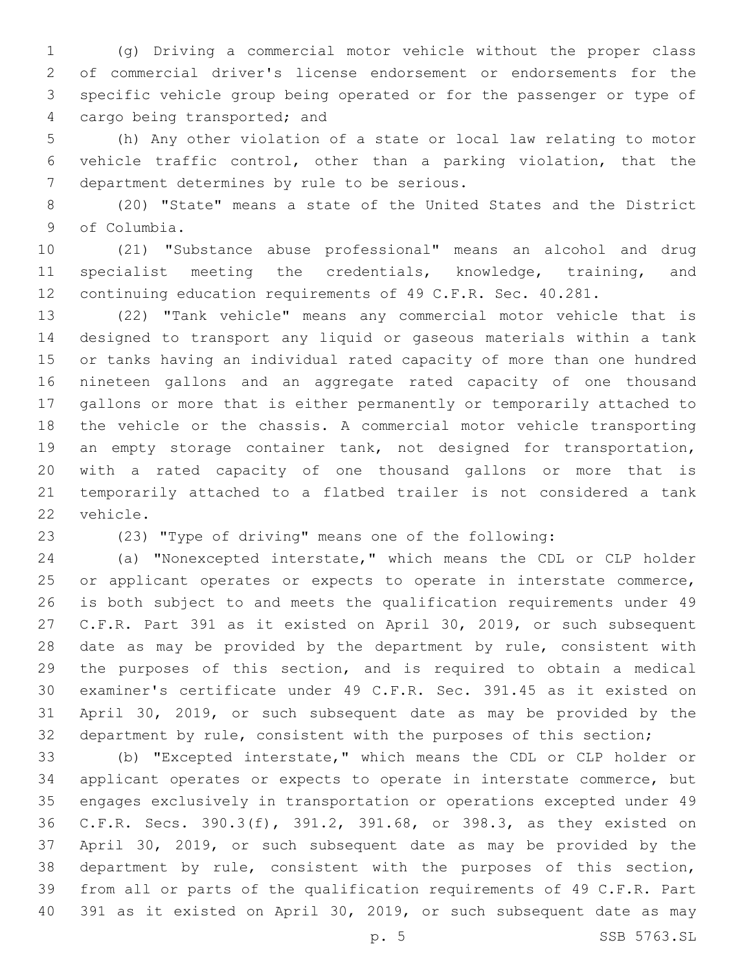(g) Driving a commercial motor vehicle without the proper class of commercial driver's license endorsement or endorsements for the specific vehicle group being operated or for the passenger or type of 4 cargo being transported; and

 (h) Any other violation of a state or local law relating to motor vehicle traffic control, other than a parking violation, that the 7 department determines by rule to be serious.

 (20) "State" means a state of the United States and the District 9 of Columbia.

 (21) "Substance abuse professional" means an alcohol and drug specialist meeting the credentials, knowledge, training, and continuing education requirements of 49 C.F.R. Sec. 40.281.

 (22) "Tank vehicle" means any commercial motor vehicle that is designed to transport any liquid or gaseous materials within a tank or tanks having an individual rated capacity of more than one hundred nineteen gallons and an aggregate rated capacity of one thousand gallons or more that is either permanently or temporarily attached to the vehicle or the chassis. A commercial motor vehicle transporting 19 an empty storage container tank, not designed for transportation, with a rated capacity of one thousand gallons or more that is temporarily attached to a flatbed trailer is not considered a tank 22 vehicle.

(23) "Type of driving" means one of the following:

 (a) "Nonexcepted interstate," which means the CDL or CLP holder or applicant operates or expects to operate in interstate commerce, is both subject to and meets the qualification requirements under 49 C.F.R. Part 391 as it existed on April 30, 2019, or such subsequent date as may be provided by the department by rule, consistent with the purposes of this section, and is required to obtain a medical examiner's certificate under 49 C.F.R. Sec. 391.45 as it existed on April 30, 2019, or such subsequent date as may be provided by the department by rule, consistent with the purposes of this section;

 (b) "Excepted interstate," which means the CDL or CLP holder or applicant operates or expects to operate in interstate commerce, but engages exclusively in transportation or operations excepted under 49 C.F.R. Secs. 390.3(f), 391.2, 391.68, or 398.3, as they existed on April 30, 2019, or such subsequent date as may be provided by the department by rule, consistent with the purposes of this section, from all or parts of the qualification requirements of 49 C.F.R. Part 391 as it existed on April 30, 2019, or such subsequent date as may

p. 5 SSB 5763.SL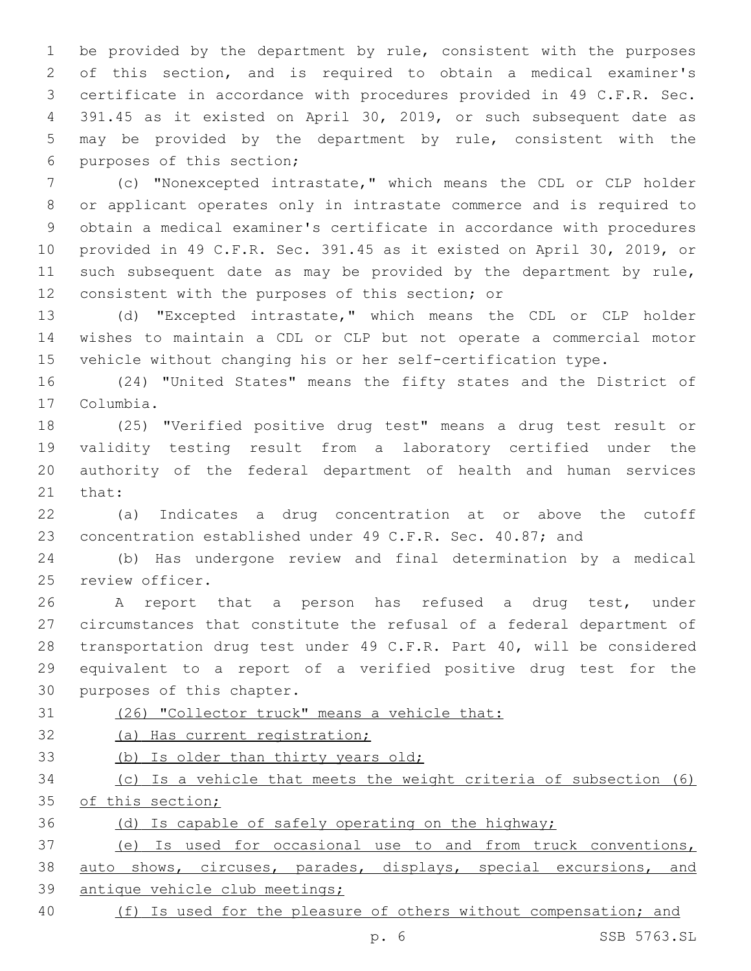be provided by the department by rule, consistent with the purposes of this section, and is required to obtain a medical examiner's certificate in accordance with procedures provided in 49 C.F.R. Sec. 391.45 as it existed on April 30, 2019, or such subsequent date as may be provided by the department by rule, consistent with the 6 purposes of this section;

 (c) "Nonexcepted intrastate," which means the CDL or CLP holder or applicant operates only in intrastate commerce and is required to obtain a medical examiner's certificate in accordance with procedures provided in 49 C.F.R. Sec. 391.45 as it existed on April 30, 2019, or 11 such subsequent date as may be provided by the department by rule, 12 consistent with the purposes of this section; or

 (d) "Excepted intrastate," which means the CDL or CLP holder wishes to maintain a CDL or CLP but not operate a commercial motor vehicle without changing his or her self-certification type.

 (24) "United States" means the fifty states and the District of 17 Columbia.

 (25) "Verified positive drug test" means a drug test result or validity testing result from a laboratory certified under the authority of the federal department of health and human services 21 that:

 (a) Indicates a drug concentration at or above the cutoff 23 concentration established under 49 C.F.R. Sec. 40.87; and

 (b) Has undergone review and final determination by a medical 25 review officer.

 A report that a person has refused a drug test, under circumstances that constitute the refusal of a federal department of transportation drug test under 49 C.F.R. Part 40, will be considered equivalent to a report of a verified positive drug test for the 30 purposes of this chapter.

(26) "Collector truck" means a vehicle that:

(a) Has current registration;

(b) Is older than thirty years old;

 (c) Is a vehicle that meets the weight criteria of subsection (6) 35 of this section;

(d) Is capable of safely operating on the highway;

 (e) Is used for occasional use to and from truck conventions, auto shows, circuses, parades, displays, special excursions, and antique vehicle club meetings;

40 (f) Is used for the pleasure of others without compensation; and

p. 6 SSB 5763.SL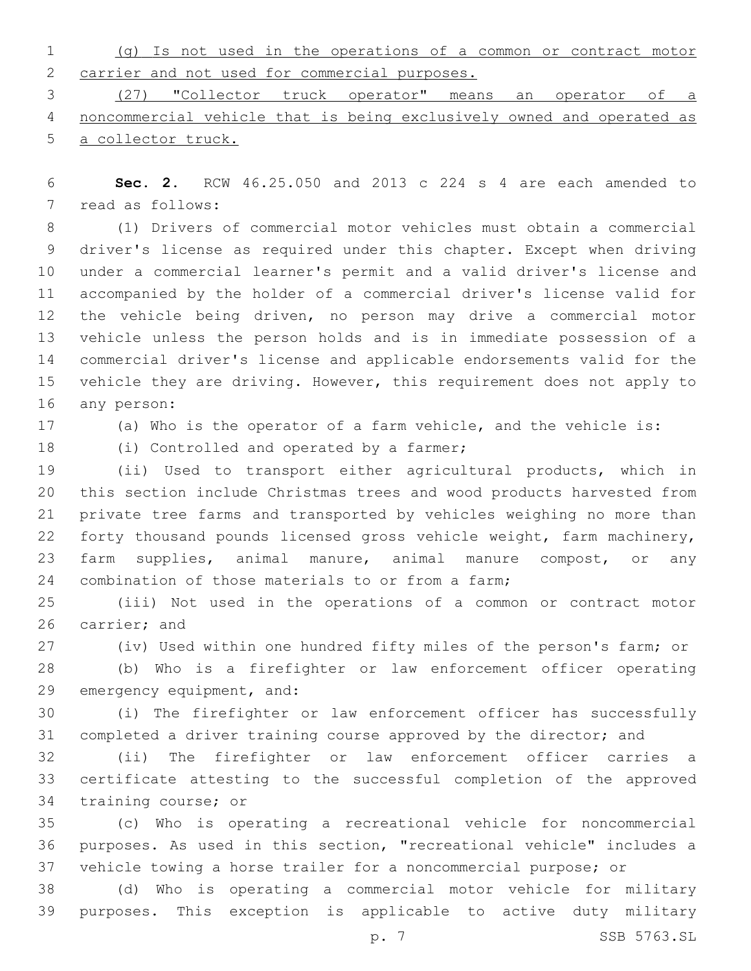|                                                 |  |  |  |  |  | (g) Is not used in the operations of a common or contract motor |  |
|-------------------------------------------------|--|--|--|--|--|-----------------------------------------------------------------|--|
| 2 carrier and not used for commercial purposes. |  |  |  |  |  |                                                                 |  |
|                                                 |  |  |  |  |  |                                                                 |  |

 (27) "Collector truck operator" means an operator of a noncommercial vehicle that is being exclusively owned and operated as a collector truck.

 **Sec. 2.** RCW 46.25.050 and 2013 c 224 s 4 are each amended to 7 read as follows:

 (1) Drivers of commercial motor vehicles must obtain a commercial driver's license as required under this chapter. Except when driving under a commercial learner's permit and a valid driver's license and accompanied by the holder of a commercial driver's license valid for the vehicle being driven, no person may drive a commercial motor vehicle unless the person holds and is in immediate possession of a commercial driver's license and applicable endorsements valid for the vehicle they are driving. However, this requirement does not apply to 16 any person:

(a) Who is the operator of a farm vehicle, and the vehicle is:

18 (i) Controlled and operated by a farmer;

 (ii) Used to transport either agricultural products, which in this section include Christmas trees and wood products harvested from private tree farms and transported by vehicles weighing no more than forty thousand pounds licensed gross vehicle weight, farm machinery, farm supplies, animal manure, animal manure compost, or any 24 combination of those materials to or from a farm;

 (iii) Not used in the operations of a common or contract motor 26 carrier; and

(iv) Used within one hundred fifty miles of the person's farm; or

 (b) Who is a firefighter or law enforcement officer operating 29 emergency equipment, and:

 (i) The firefighter or law enforcement officer has successfully completed a driver training course approved by the director; and

 (ii) The firefighter or law enforcement officer carries a certificate attesting to the successful completion of the approved 34 training course; or

 (c) Who is operating a recreational vehicle for noncommercial purposes. As used in this section, "recreational vehicle" includes a vehicle towing a horse trailer for a noncommercial purpose; or

 (d) Who is operating a commercial motor vehicle for military purposes. This exception is applicable to active duty military

p. 7 SSB 5763.SL